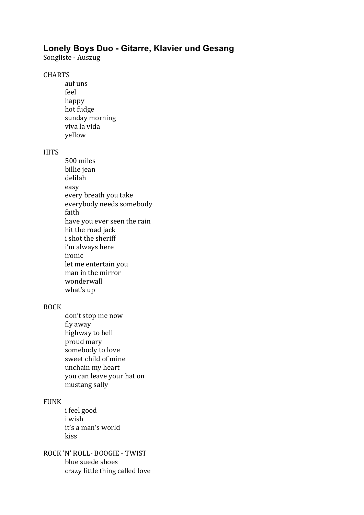# **Lonely Boys Duo - Gitarre, Klavier und Gesang**

Songliste - Auszug

#### CHARTS

auf uns feel happy hot fudge sunday morning viva la vida yellow

### **HITS**

500 miles billie jean delilah easy every breath you take everybody needs somebody faith have you ever seen the rain hit the road jack i shot the sheriff i'm always here ironic let me entertain you man in the mirror wonderwall what's up

## ROCK

don't stop me now fly away highway to hell proud mary somebody to love sweet child of mine unchain my heart you can leave your hat on mustang sally

#### FUNK

- i feel good i wish it's a man's world kiss
- ROCK 'N' ROLL- BOOGIE TWIST blue suede shoes crazy little thing called love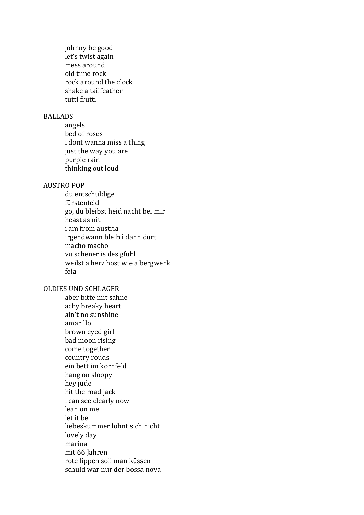johnny be good let's twist again mess around old time rock rock around the clock shake a tailfeather tutti frutti

#### BALLADS

angels bed of roses i dont wanna miss a thing just the way you are purple rain thinking out loud

#### **AUSTRO POP**

du entschuldige fürstenfeld gö, du bleibst heid nacht bei mir heast as nit i am from austria irgendwann bleib i dann durt macho macho vü schener is des gfühl weilst a herz host wie a bergwerk feia

#### OLDIES UND SCHLAGER

aber bitte mit sahne achy breaky heart ain't no sunshine amarillo brown eyed girl bad moon rising come together country rouds ein bett im kornfeld hang on sloopy hey jude hit the road jack i can see clearly now lean on me let it he liebeskummer lohnt sich nicht lovely day marina mit 66 Jahren rote lippen soll man küssen schuld war nur der bossa nova